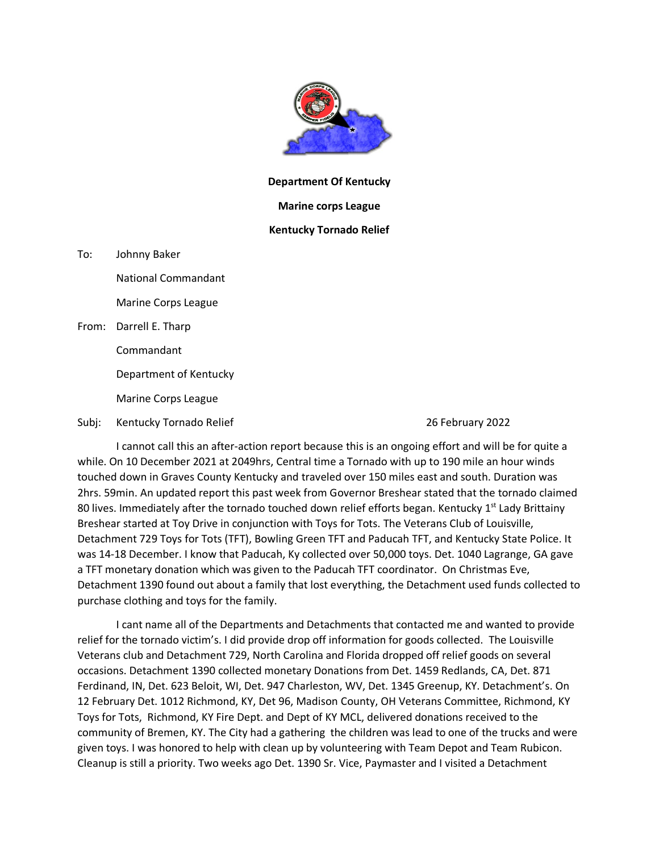

## **Department Of Kentucky**

## **Marine corps League**

## **Kentucky Tornado Relief**

To: Johnny Baker

National Commandant

Marine Corps League

From: Darrell E. Tharp

Commandant

Department of Kentucky

Marine Corps League

Subj: Kentucky Tornado Relief 26 February 2022

I cannot call this an after-action report because this is an ongoing effort and will be for quite a while. On 10 December 2021 at 2049hrs, Central time a Tornado with up to 190 mile an hour winds touched down in Graves County Kentucky and traveled over 150 miles east and south. Duration was 2hrs. 59min. An updated report this past week from Governor Breshear stated that the tornado claimed 80 lives. Immediately after the tornado touched down relief efforts began. Kentucky  $1<sup>st</sup>$  Lady Brittainy Breshear started at Toy Drive in conjunction with Toys for Tots. The Veterans Club of Louisville, Detachment 729 Toys for Tots (TFT), Bowling Green TFT and Paducah TFT, and Kentucky State Police. It was 14-18 December. I know that Paducah, Ky collected over 50,000 toys. Det. 1040 Lagrange, GA gave a TFT monetary donation which was given to the Paducah TFT coordinator. On Christmas Eve, Detachment 1390 found out about a family that lost everything, the Detachment used funds collected to purchase clothing and toys for the family.

I cant name all of the Departments and Detachments that contacted me and wanted to provide relief for the tornado victim's. I did provide drop off information for goods collected. The Louisville Veterans club and Detachment 729, North Carolina and Florida dropped off relief goods on several occasions. Detachment 1390 collected monetary Donations from Det. 1459 Redlands, CA, Det. 871 Ferdinand, IN, Det. 623 Beloit, WI, Det. 947 Charleston, WV, Det. 1345 Greenup, KY. Detachment's. On 12 February Det. 1012 Richmond, KY, Det 96, Madison County, OH Veterans Committee, Richmond, KY Toys for Tots, Richmond, KY Fire Dept. and Dept of KY MCL, delivered donations received to the community of Bremen, KY. The City had a gathering the children was lead to one of the trucks and were given toys. I was honored to help with clean up by volunteering with Team Depot and Team Rubicon. Cleanup is still a priority. Two weeks ago Det. 1390 Sr. Vice, Paymaster and I visited a Detachment